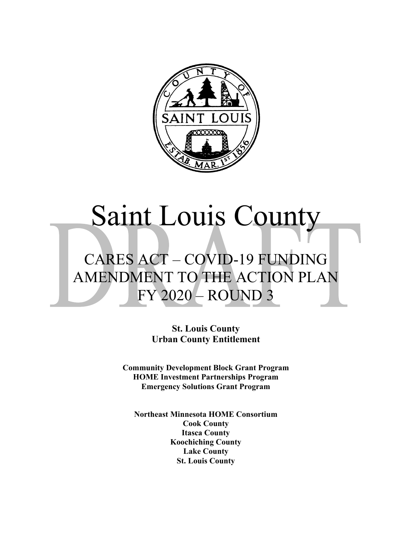

# Saint Louis County

# CARES ACT – COVID-19 FUNDING AMENDMENT TO THE ACTION PLAN FY 2020 – ROUND 3

**St. Louis County Urban County Entitlement**

**Community Development Block Grant Program HOME Investment Partnerships Program Emergency Solutions Grant Program**

**Northeast Minnesota HOME Consortium Cook County Itasca County Koochiching County Lake County St. Louis County**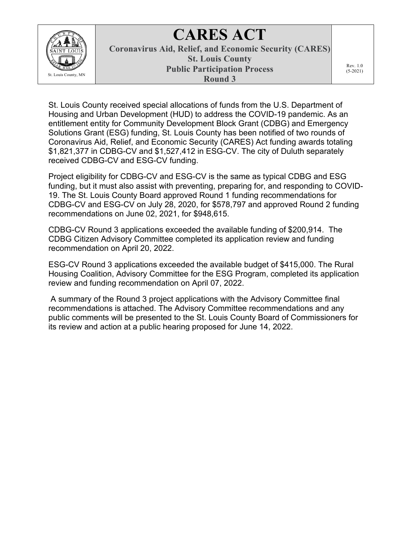

# **CARES ACT**

**Coronavirus Aid, Relief, and Economic Security (CARES) St. Louis County Public Participation Process Round 3**

Rev. 1.0 (5-2021)

St. Louis County received special allocations of funds from the U.S. Department of Housing and Urban Development (HUD) to address the COVID-19 pandemic. As an entitlement entity for Community Development Block Grant (CDBG) and Emergency Solutions Grant (ESG) funding, St. Louis County has been notified of two rounds of Coronavirus Aid, Relief, and Economic Security (CARES) Act funding awards totaling \$1,821,377 in CDBG-CV and \$1,527,412 in ESG-CV. The city of Duluth separately received CDBG-CV and ESG-CV funding.

Project eligibility for CDBG-CV and ESG-CV is the same as typical CDBG and ESG funding, but it must also assist with preventing, preparing for, and responding to COVID-19. The St. Louis County Board approved Round 1 funding recommendations for CDBG-CV and ESG-CV on July 28, 2020, for \$578,797 and approved Round 2 funding recommendations on June 02, 2021, for \$948,615.

CDBG-CV Round 3 applications exceeded the available funding of \$200,914. The CDBG Citizen Advisory Committee completed its application review and funding recommendation on April 20, 2022.

ESG-CV Round 3 applications exceeded the available budget of \$415,000. The Rural Housing Coalition, Advisory Committee for the ESG Program, completed its application review and funding recommendation on April 07, 2022.

A summary of the Round 3 project applications with the Advisory Committee final recommendations is attached. The Advisory Committee recommendations and any public comments will be presented to the St. Louis County Board of Commissioners for its review and action at a public hearing proposed for June 14, 2022.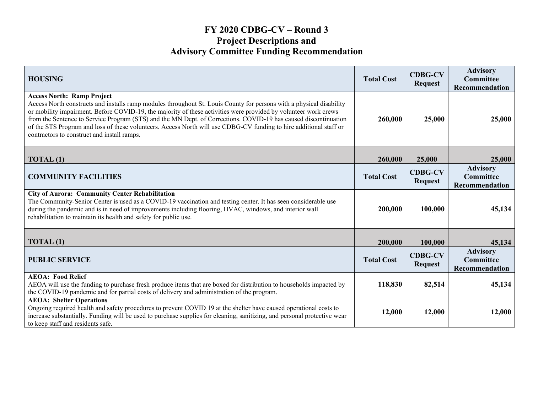## **FY 2020 CDBG-CV – Round 3 Project Descriptions and Advisory Committee Funding Recommendation**

| <b>HOUSING</b>                                                                                                                                                                                                                                                                                                                                                                                                                                                                                                                                                       | <b>Total Cost</b> | <b>CDBG-CV</b><br><b>Request</b> | <b>Advisory</b><br><b>Committee</b><br>Recommendation |
|----------------------------------------------------------------------------------------------------------------------------------------------------------------------------------------------------------------------------------------------------------------------------------------------------------------------------------------------------------------------------------------------------------------------------------------------------------------------------------------------------------------------------------------------------------------------|-------------------|----------------------------------|-------------------------------------------------------|
| <b>Access North: Ramp Project</b><br>Access North constructs and installs ramp modules throughout St. Louis County for persons with a physical disability<br>or mobility impairment. Before COVID-19, the majority of these activities were provided by volunteer work crews<br>from the Sentence to Service Program (STS) and the MN Dept. of Corrections. COVID-19 has caused discontinuation<br>of the STS Program and loss of these volunteers. Access North will use CDBG-CV funding to hire additional staff or<br>contractors to construct and install ramps. | 260,000           | 25,000                           | 25,000                                                |
| TOTAL (1)                                                                                                                                                                                                                                                                                                                                                                                                                                                                                                                                                            | 260,000           | 25,000                           | 25,000                                                |
| <b>COMMUNITY FACILITIES</b>                                                                                                                                                                                                                                                                                                                                                                                                                                                                                                                                          | <b>Total Cost</b> | <b>CDBG-CV</b><br><b>Request</b> | <b>Advisory</b><br><b>Committee</b><br>Recommendation |
| <b>City of Aurora: Community Center Rehabilitation</b><br>The Community-Senior Center is used as a COVID-19 vaccination and testing center. It has seen considerable use<br>during the pandemic and is in need of improvements including flooring, HVAC, windows, and interior wall<br>rehabilitation to maintain its health and safety for public use.                                                                                                                                                                                                              | 200,000           | 100,000                          | 45,134                                                |
| TOTAL (1)                                                                                                                                                                                                                                                                                                                                                                                                                                                                                                                                                            | 200,000           | 100,000                          | 45,134                                                |
| <b>PUBLIC SERVICE</b>                                                                                                                                                                                                                                                                                                                                                                                                                                                                                                                                                | <b>Total Cost</b> | <b>CDBG-CV</b><br><b>Request</b> | <b>Advisory</b><br><b>Committee</b><br>Recommendation |
| <b>AEOA: Food Relief</b><br>AEOA will use the funding to purchase fresh produce items that are boxed for distribution to households impacted by<br>the COVID-19 pandemic and for partial costs of delivery and administration of the program.                                                                                                                                                                                                                                                                                                                        | 118,830           | 82,514                           | 45,134                                                |
| <b>AEOA: Shelter Operations</b><br>Ongoing required health and safety procedures to prevent COVID 19 at the shelter have caused operational costs to<br>increase substantially. Funding will be used to purchase supplies for cleaning, sanitizing, and personal protective wear<br>to keep staff and residents safe.                                                                                                                                                                                                                                                | 12,000            | 12,000                           | 12,000                                                |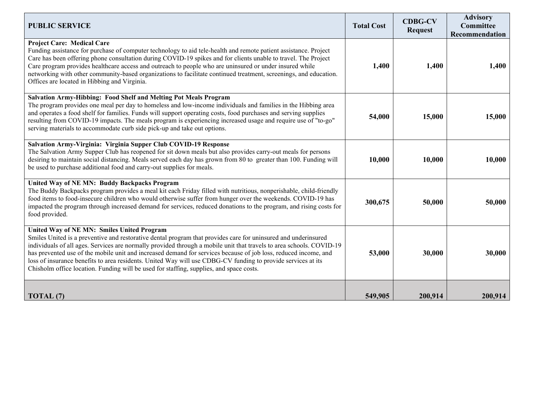| <b>PUBLIC SERVICE</b>                                                                                                                                                                                                                                                                                                                                                                                                                                                                                                                                                                                              | <b>Total Cost</b> | <b>CDBG-CV</b><br><b>Request</b> | <b>Advisory</b><br><b>Committee</b><br>Recommendation |
|--------------------------------------------------------------------------------------------------------------------------------------------------------------------------------------------------------------------------------------------------------------------------------------------------------------------------------------------------------------------------------------------------------------------------------------------------------------------------------------------------------------------------------------------------------------------------------------------------------------------|-------------------|----------------------------------|-------------------------------------------------------|
| <b>Project Care: Medical Care</b><br>Funding assistance for purchase of computer technology to aid tele-health and remote patient assistance. Project<br>Care has been offering phone consultation during COVID-19 spikes and for clients unable to travel. The Project<br>Care program provides healthcare access and outreach to people who are uninsured or under insured while<br>networking with other community-based organizations to facilitate continued treatment, screenings, and education.<br>Offices are located in Hibbing and Virginia.                                                            | 1,400             | 1,400                            | 1,400                                                 |
| Salvation Army-Hibbing: Food Shelf and Melting Pot Meals Program<br>The program provides one meal per day to homeless and low-income individuals and families in the Hibbing area<br>and operates a food shelf for families. Funds will support operating costs, food purchases and serving supplies<br>resulting from COVID-19 impacts. The meals program is experiencing increased usage and require use of "to-go"<br>serving materials to accommodate curb side pick-up and take out options.                                                                                                                  | 54,000            | 15,000                           | 15,000                                                |
| Salvation Army-Virginia: Virginia Supper Club COVID-19 Response<br>The Salvation Army Supper Club has reopened for sit down meals but also provides carry-out meals for persons<br>desiring to maintain social distancing. Meals served each day has grown from 80 to greater than 100. Funding will<br>be used to purchase additional food and carry-out supplies for meals.                                                                                                                                                                                                                                      | 10,000            | 10,000                           | 10,000                                                |
| United Way of NE MN: Buddy Backpacks Program<br>The Buddy Backpacks program provides a meal kit each Friday filled with nutritious, nonperishable, child-friendly<br>food items to food-insecure children who would otherwise suffer from hunger over the weekends. COVID-19 has<br>impacted the program through increased demand for services, reduced donations to the program, and rising costs for<br>food provided.                                                                                                                                                                                           | 300,675           | 50,000                           | 50,000                                                |
| United Way of NE MN: Smiles United Program<br>Smiles United is a preventive and restorative dental program that provides care for uninsured and underinsured<br>individuals of all ages. Services are normally provided through a mobile unit that travels to area schools. COVID-19<br>has prevented use of the mobile unit and increased demand for services because of job loss, reduced income, and<br>loss of insurance benefits to area residents. United Way will use CDBG-CV funding to provide services at its<br>Chisholm office location. Funding will be used for staffing, supplies, and space costs. | 53,000            | 30,000                           | 30,000                                                |
| TOTAL <sub>(7)</sub>                                                                                                                                                                                                                                                                                                                                                                                                                                                                                                                                                                                               | 549,905           | 200,914                          | 200,914                                               |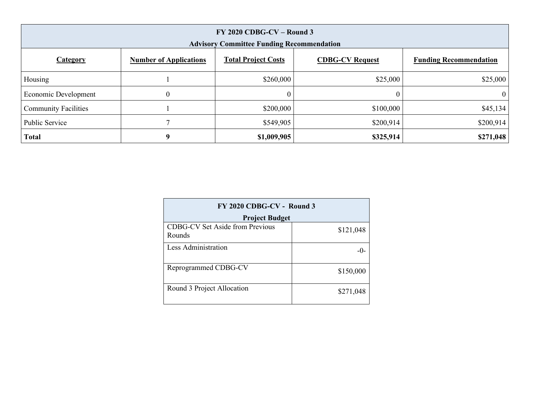| $FY$ 2020 CDBG-CV – Round 3<br><b>Advisory Committee Funding Recommendation</b> |                               |                            |                        |                               |
|---------------------------------------------------------------------------------|-------------------------------|----------------------------|------------------------|-------------------------------|
| <b>Category</b>                                                                 | <b>Number of Applications</b> | <b>Total Project Costs</b> | <b>CDBG-CV Request</b> | <b>Funding Recommendation</b> |
| Housing                                                                         |                               | \$260,000                  | \$25,000               | \$25,000                      |
| Economic Development                                                            | $\theta$                      |                            | $\mathbf{0}$           | $\overline{0}$                |
| <b>Community Facilities</b>                                                     |                               | \$200,000                  | \$100,000              | \$45,134                      |
| Public Service                                                                  |                               | \$549,905                  | \$200,914              | \$200,914                     |
| <b>Total</b>                                                                    | 9                             | \$1,009,905                | \$325,914              | \$271,048                     |

| FY 2020 CDBG-CV - Round 3                        |           |  |
|--------------------------------------------------|-----------|--|
| <b>Project Budget</b>                            |           |  |
| <b>CDBG-CV Set Aside from Previous</b><br>Rounds | \$121,048 |  |
| Less Administration                              | $-()$     |  |
| Reprogrammed CDBG-CV                             | \$150,000 |  |
| Round 3 Project Allocation                       | \$271,048 |  |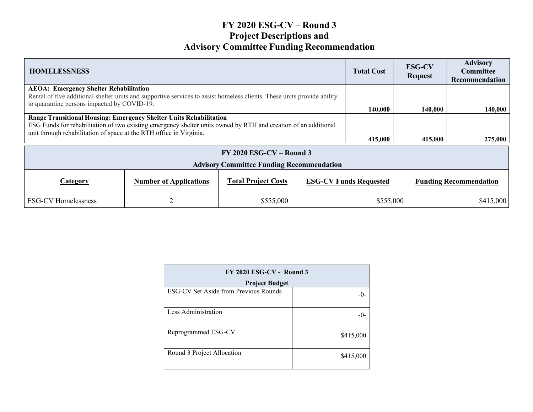# **FY 2020 ESG-CV – Round 3 Project Descriptions and Advisory Committee Funding Recommendation**

| <b>HOMELESSNESS</b>                                                                                                                                                                                                                                          |                               |                            | <b>Total Cost</b> | <b>ESG-CV</b><br><b>Request</b> | <b>Advisory</b><br><b>Committee</b><br><b>Recommendation</b> |                               |
|--------------------------------------------------------------------------------------------------------------------------------------------------------------------------------------------------------------------------------------------------------------|-------------------------------|----------------------------|-------------------|---------------------------------|--------------------------------------------------------------|-------------------------------|
| <b>AEOA: Emergency Shelter Rehabilitation</b>                                                                                                                                                                                                                |                               |                            |                   |                                 |                                                              |                               |
| Rental of five additional shelter units and supportive services to assist homeless clients. These units provide ability<br>to quarantine persons impacted by COVID-19.                                                                                       |                               |                            |                   |                                 |                                                              |                               |
|                                                                                                                                                                                                                                                              |                               |                            |                   | 140,000                         | 140,000                                                      | 140,000                       |
| Range Transitional Housing: Emergency Shelter Units Rehabilitation<br>ESG Funds for rehabilitation of two existing emergency shelter units owned by RTH and creation of an additional<br>unit through rehabilitation of space at the RTH office in Virginia. |                               |                            |                   |                                 |                                                              |                               |
|                                                                                                                                                                                                                                                              |                               |                            |                   | 415,000                         | 415,000                                                      | 275,000                       |
| $FY$ 2020 ESG-CV – Round 3<br><b>Advisory Committee Funding Recommendation</b>                                                                                                                                                                               |                               |                            |                   |                                 |                                                              |                               |
| <b>Category</b>                                                                                                                                                                                                                                              | <b>Number of Applications</b> | <b>Total Project Costs</b> |                   | <b>ESG-CV Funds Requested</b>   |                                                              | <b>Funding Recommendation</b> |
| <b>ESG-CV Homelessness</b>                                                                                                                                                                                                                                   | $\overline{2}$                | \$555,000                  |                   | \$555,000                       |                                                              | \$415,000                     |

| FY 2020 ESG-CV - Round 3              |           |  |
|---------------------------------------|-----------|--|
| <b>Project Budget</b>                 |           |  |
| ESG-CV Set Aside from Previous Rounds |           |  |
| Less Administration                   | -0-       |  |
| Reprogrammed ESG-CV                   | \$415,000 |  |
| Round 3 Project Allocation            | \$415,000 |  |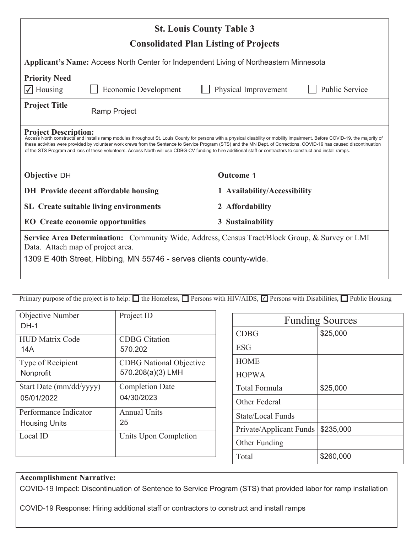| <b>St. Louis County Table 3</b>                                                                                                                                                                                                                                                                                                                                                                                                                                                                                                                          |                                                                  |  |                                        |
|----------------------------------------------------------------------------------------------------------------------------------------------------------------------------------------------------------------------------------------------------------------------------------------------------------------------------------------------------------------------------------------------------------------------------------------------------------------------------------------------------------------------------------------------------------|------------------------------------------------------------------|--|----------------------------------------|
| <b>Consolidated Plan Listing of Projects</b><br>Applicant's Name: Access North Center for Independent Living of Northeastern Minnesota                                                                                                                                                                                                                                                                                                                                                                                                                   |                                                                  |  |                                        |
| <b>Priority Need</b><br>$\sqrt{\phantom{a}}$ Housing                                                                                                                                                                                                                                                                                                                                                                                                                                                                                                     | Economic Development                                             |  | Public Service<br>Physical Improvement |
| <b>Project Title</b>                                                                                                                                                                                                                                                                                                                                                                                                                                                                                                                                     | Ramp Project                                                     |  |                                        |
| <b>Project Description:</b><br>Access North constructs and installs ramp modules throughout St. Louis County for persons with a physical disability or mobility impairment. Before COVID-19, the majority of<br>these activities were provided by volunteer work crews from the Sentence to Service Program (STS) and the MN Dept. of Corrections. COVID-19 has caused discontinuation<br>of the STS Program and loss of these volunteers. Access North will use CDBG-CV funding to hire additional staff or contractors to construct and install ramps. |                                                                  |  |                                        |
| <b>Objective DH</b>                                                                                                                                                                                                                                                                                                                                                                                                                                                                                                                                      |                                                                  |  | <b>Outcome 1</b>                       |
|                                                                                                                                                                                                                                                                                                                                                                                                                                                                                                                                                          | <b>DH</b> Provide decent affordable housing                      |  | 1 Availability/Accessibility           |
|                                                                                                                                                                                                                                                                                                                                                                                                                                                                                                                                                          | <b>SL</b> Create suitable living environments<br>2 Affordability |  |                                        |
| <b>EO</b> Create economic opportunities<br>3 Sustainability                                                                                                                                                                                                                                                                                                                                                                                                                                                                                              |                                                                  |  |                                        |
| <b>Service Area Determination:</b> Community Wide, Address, Census Tract/Block Group, & Survey or LMI<br>Data. Attach map of project area.<br>1309 E 40th Street, Hibbing, MN 55746 - serves clients county-wide.                                                                                                                                                                                                                                                                                                                                        |                                                                  |  |                                        |

| Objective Number<br>$DH-1$ | Project ID                     |
|----------------------------|--------------------------------|
| <b>HUD Matrix Code</b>     | <b>CDBG</b> Citation           |
| 14A                        | 570.202                        |
| Type of Recipient          | <b>CDBG</b> National Objective |
| Nonprofit                  | 570.208(a)(3) LMH              |
| Start Date (mm/dd/yyyy)    | <b>Completion Date</b>         |
| 05/01/2022                 | 04/30/2023                     |
| Performance Indicator      | <b>Annual Units</b>            |
| <b>Housing Units</b>       | 25                             |
| Local ID                   | Units Upon Completion          |

| <b>Funding Sources</b>  |           |  |
|-------------------------|-----------|--|
| <b>CDBG</b>             | \$25,000  |  |
| <b>ESG</b>              |           |  |
| <b>HOME</b>             |           |  |
| <b>HOPWA</b>            |           |  |
| Total Formula           | \$25,000  |  |
| Other Federal           |           |  |
| State/Local Funds       |           |  |
| Private/Applicant Funds | \$235,000 |  |
| Other Funding           |           |  |
| Total                   | \$260,000 |  |

#### **Accomplishment Narrative:**

COVID-19 Impact: Discontinuation of Sentence to Service Program (STS) that provided labor for ramp installation

COVID-19 Response: Hiring additional staff or contractors to construct and install ramps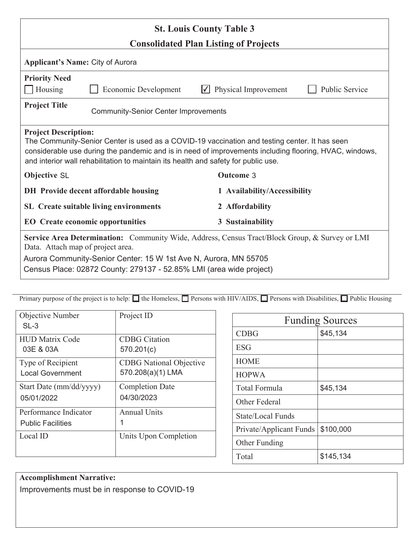| <b>St. Louis County Table 3</b>                                                                                                                                                                                                                                                                                              |                                                                      |                      |                       |
|------------------------------------------------------------------------------------------------------------------------------------------------------------------------------------------------------------------------------------------------------------------------------------------------------------------------------|----------------------------------------------------------------------|----------------------|-----------------------|
| <b>Consolidated Plan Listing of Projects</b>                                                                                                                                                                                                                                                                                 |                                                                      |                      |                       |
| Applicant's Name: City of Aurora                                                                                                                                                                                                                                                                                             |                                                                      |                      |                       |
| <b>Priority Need</b><br>Housing                                                                                                                                                                                                                                                                                              | <b>Economic Development</b>                                          | Physical Improvement | <b>Public Service</b> |
| <b>Project Title</b>                                                                                                                                                                                                                                                                                                         | <b>Community-Senior Center Improvements</b>                          |                      |                       |
| <b>Project Description:</b><br>The Community-Senior Center is used as a COVID-19 vaccination and testing center. It has seen<br>considerable use during the pandemic and is in need of improvements including flooring, HVAC, windows,<br>and interior wall rehabilitation to maintain its health and safety for public use. |                                                                      |                      |                       |
| <b>Objective SL</b><br><b>Outcome 3</b>                                                                                                                                                                                                                                                                                      |                                                                      |                      |                       |
|                                                                                                                                                                                                                                                                                                                              | DH Provide decent affordable housing<br>1 Availability/Accessibility |                      |                       |
|                                                                                                                                                                                                                                                                                                                              | <b>SL</b> Create suitable living environments<br>2 Affordability     |                      |                       |
| 3 Sustainability<br><b>EO</b> Create economic opportunities                                                                                                                                                                                                                                                                  |                                                                      |                      |                       |
| Service Area Determination: Community Wide, Address, Census Tract/Block Group, & Survey or LMI<br>Data. Attach map of project area.                                                                                                                                                                                          |                                                                      |                      |                       |
| Aurora Community-Senior Center: 15 W 1st Ave N, Aurora, MN 55705<br>Census Place: 02872 County: 279137 - 52.85% LMI (area wide project)                                                                                                                                                                                      |                                                                      |                      |                       |

| Objective Number<br>$SL-3$ | Project ID                     |
|----------------------------|--------------------------------|
| <b>HUD Matrix Code</b>     | <b>CDBG</b> Citation           |
| 03E & 03A                  | 570.201(c)                     |
| Type of Recipient          | <b>CDBG</b> National Objective |
| <b>Local Government</b>    | 570.208(a)(1) LMA              |
| Start Date (mm/dd/yyyy)    | <b>Completion Date</b>         |
| 05/01/2022                 | 04/30/2023                     |
| Performance Indicator      | <b>Annual Units</b>            |
| <b>Public Facilities</b>   | 1                              |
| Local ID                   | Units Upon Completion          |

| <b>Funding Sources</b>  |           |  |
|-------------------------|-----------|--|
| <b>CDBG</b>             | \$45,134  |  |
| <b>ESG</b>              |           |  |
| <b>HOME</b>             |           |  |
| <b>HOPWA</b>            |           |  |
| <b>Total Formula</b>    | \$45,134  |  |
| Other Federal           |           |  |
| State/Local Funds       |           |  |
| Private/Applicant Funds | \$100,000 |  |
| Other Funding           |           |  |
| Total                   | \$145,134 |  |

**Accomplishment Narrative:** Improvements must be in response to COVID-19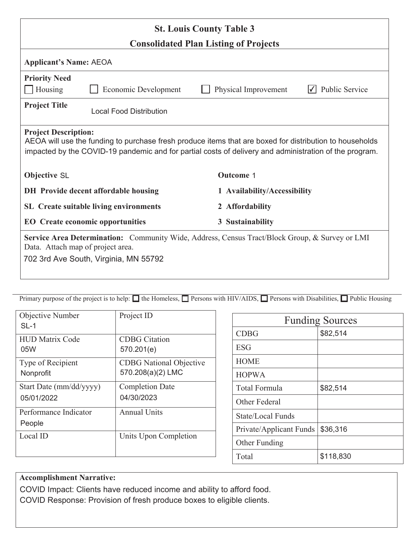| <b>St. Louis County Table 3</b>                                                                                                                                                                                                                  |                                      |                              |                       |
|--------------------------------------------------------------------------------------------------------------------------------------------------------------------------------------------------------------------------------------------------|--------------------------------------|------------------------------|-----------------------|
| <b>Consolidated Plan Listing of Projects</b>                                                                                                                                                                                                     |                                      |                              |                       |
| <b>Applicant's Name: AEOA</b>                                                                                                                                                                                                                    |                                      |                              |                       |
| <b>Priority Need</b><br>Housing                                                                                                                                                                                                                  | Economic Development                 | Physical Improvement         | <b>Public Service</b> |
| <b>Project Title</b>                                                                                                                                                                                                                             | <b>Local Food Distribution</b>       |                              |                       |
| <b>Project Description:</b><br>AEOA will use the funding to purchase fresh produce items that are boxed for distribution to households<br>impacted by the COVID-19 pandemic and for partial costs of delivery and administration of the program. |                                      |                              |                       |
| <b>Objective SL</b>                                                                                                                                                                                                                              |                                      | <b>Outcome 1</b>             |                       |
|                                                                                                                                                                                                                                                  | DH Provide decent affordable housing | 1 Availability/Accessibility |                       |
| <b>SL</b> Create suitable living environments                                                                                                                                                                                                    |                                      | 2 Affordability              |                       |
| <b>EO</b> Create economic opportunities<br>3 Sustainability                                                                                                                                                                                      |                                      |                              |                       |
| Service Area Determination: Community Wide, Address, Census Tract/Block Group, & Survey or LMI<br>Data. Attach map of project area.<br>702 3rd Ave South, Virginia, MN 55792                                                                     |                                      |                              |                       |

| Primary purpose of the project is to help: $\Box$ the Homeless, $\Box$ Persons with HIV/AIDS, $\Box$ Persons with Disabilities, $\Box$ Public Housing |  |
|-------------------------------------------------------------------------------------------------------------------------------------------------------|--|

| Objective Number<br>$SL-1$      | Project ID                     |
|---------------------------------|--------------------------------|
| <b>HUD Matrix Code</b>          | <b>CDBG</b> Citation           |
| 05W                             | 570.201(e)                     |
| Type of Recipient               | <b>CDBG</b> National Objective |
| Nonprofit                       | 570.208(a)(2) LMC              |
| Start Date (mm/dd/yyyy)         | <b>Completion Date</b>         |
| 05/01/2022                      | 04/30/2023                     |
| Performance Indicator<br>People | <b>Annual Units</b>            |
| Local ID                        | Units Upon Completion          |

| <b>Funding Sources</b>   |           |  |
|--------------------------|-----------|--|
| <b>CDBG</b>              | \$82,514  |  |
| <b>ESG</b>               |           |  |
| <b>HOME</b>              |           |  |
| <b>HOPWA</b>             |           |  |
| Total Formula            | \$82,514  |  |
| Other Federal            |           |  |
| <b>State/Local Funds</b> |           |  |
| Private/Applicant Funds  | \$36,316  |  |
| Other Funding            |           |  |
| Total                    | \$118,830 |  |

# **Accomplishment Narrative:**

COVID Impact: Clients have reduced income and ability to afford food. COVID Response: Provision of fresh produce boxes to eligible clients.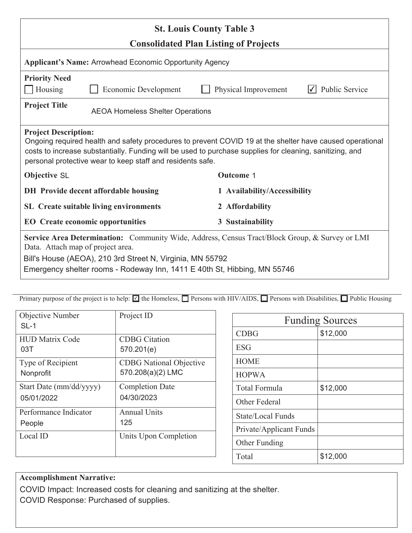| <b>St. Louis County Table 3</b>                                                                                                                                                                                                                                                                                   |                      |  |                              |                |
|-------------------------------------------------------------------------------------------------------------------------------------------------------------------------------------------------------------------------------------------------------------------------------------------------------------------|----------------------|--|------------------------------|----------------|
| <b>Consolidated Plan Listing of Projects</b>                                                                                                                                                                                                                                                                      |                      |  |                              |                |
| <b>Applicant's Name: Arrowhead Economic Opportunity Agency</b>                                                                                                                                                                                                                                                    |                      |  |                              |                |
| <b>Priority Need</b><br>Housing                                                                                                                                                                                                                                                                                   | Economic Development |  | Physical Improvement         | Public Service |
| <b>Project Title</b><br><b>AEOA Homeless Shelter Operations</b>                                                                                                                                                                                                                                                   |                      |  |                              |                |
| <b>Project Description:</b><br>Ongoing required health and safety procedures to prevent COVID 19 at the shelter have caused operational<br>costs to increase substantially. Funding will be used to purchase supplies for cleaning, sanitizing, and<br>personal protective wear to keep staff and residents safe. |                      |  |                              |                |
| <b>Objective SL</b>                                                                                                                                                                                                                                                                                               |                      |  | <b>Outcome 1</b>             |                |
| DH Provide decent affordable housing                                                                                                                                                                                                                                                                              |                      |  | 1 Availability/Accessibility |                |
| <b>SL</b> Create suitable living environments                                                                                                                                                                                                                                                                     |                      |  | 2 Affordability              |                |
| <b>EO</b> Create economic opportunities<br>3 Sustainability                                                                                                                                                                                                                                                       |                      |  |                              |                |
| Service Area Determination: Community Wide, Address, Census Tract/Block Group, & Survey or LMI<br>Data. Attach map of project area.                                                                                                                                                                               |                      |  |                              |                |
| Bill's House (AEOA), 210 3rd Street N, Virginia, MN 55792<br>Emergency shelter rooms - Rodeway Inn, 1411 E 40th St, Hibbing, MN 55746                                                                                                                                                                             |                      |  |                              |                |

| Objective Number<br>$SL-1$ | Project ID                     |
|----------------------------|--------------------------------|
| <b>HUD Matrix Code</b>     | <b>CDBG</b> Citation           |
| 03T                        | 570.201(e)                     |
| Type of Recipient          | <b>CDBG</b> National Objective |
| Nonprofit                  | 570.208(a)(2) LMC              |
| Start Date (mm/dd/yyyy)    | <b>Completion Date</b>         |
| 05/01/2022                 | 04/30/2023                     |
| Performance Indicator      | Annual Units                   |
| People                     | 125                            |
| Local ID                   | Units Upon Completion          |

| <b>Funding Sources</b>  |          |  |
|-------------------------|----------|--|
| <b>CDBG</b>             | \$12,000 |  |
| <b>ESG</b>              |          |  |
| <b>HOME</b>             |          |  |
| <b>HOPWA</b>            |          |  |
| <b>Total Formula</b>    | \$12,000 |  |
| Other Federal           |          |  |
| State/Local Funds       |          |  |
| Private/Applicant Funds |          |  |
| Other Funding           |          |  |
| Total                   | \$12,000 |  |

### **Accomplishment Narrative:**

COVID Impact: Increased costs for cleaning and sanitizing at the shelter. COVID Response: Purchased of supplies.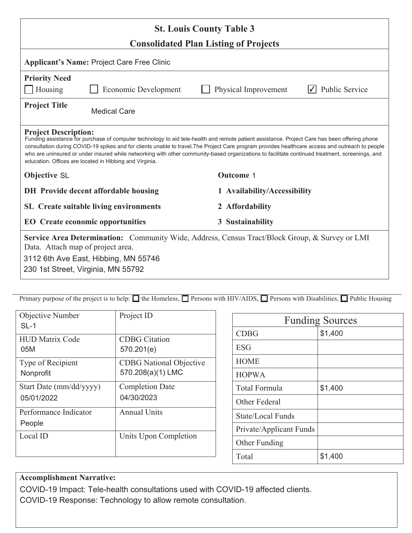| <b>St. Louis County Table 3</b>                                                                                                                                                                                                                                                                                                                                                                                                                                                                                                                |                                                   |                              |                |
|------------------------------------------------------------------------------------------------------------------------------------------------------------------------------------------------------------------------------------------------------------------------------------------------------------------------------------------------------------------------------------------------------------------------------------------------------------------------------------------------------------------------------------------------|---------------------------------------------------|------------------------------|----------------|
| <b>Consolidated Plan Listing of Projects</b>                                                                                                                                                                                                                                                                                                                                                                                                                                                                                                   |                                                   |                              |                |
|                                                                                                                                                                                                                                                                                                                                                                                                                                                                                                                                                | <b>Applicant's Name: Project Care Free Clinic</b> |                              |                |
| <b>Priority Need</b><br>Housing                                                                                                                                                                                                                                                                                                                                                                                                                                                                                                                | <b>Economic Development</b>                       | Physical Improvement         | Public Service |
| <b>Project Title</b><br><b>Medical Care</b>                                                                                                                                                                                                                                                                                                                                                                                                                                                                                                    |                                                   |                              |                |
| <b>Project Description:</b><br>Funding assistance for purchase of computer technology to aid tele-health and remote patient assistance. Project Care has been offering phone<br>consultation during COVID-19 spikes and for clients unable to travel. The Project Care program provides healthcare access and outreach to people<br>who are uninsured or under insured while networking with other community-based organizations to facilitate continued treatment, screenings, and<br>education. Offices are located in Hibbing and Virginia. |                                                   |                              |                |
| <b>Objective SL</b>                                                                                                                                                                                                                                                                                                                                                                                                                                                                                                                            |                                                   | <b>Outcome 1</b>             |                |
|                                                                                                                                                                                                                                                                                                                                                                                                                                                                                                                                                | DH Provide decent affordable housing              | 1 Availability/Accessibility |                |
|                                                                                                                                                                                                                                                                                                                                                                                                                                                                                                                                                | <b>SL</b> Create suitable living environments     | 2 Affordability              |                |
| <b>EO</b> Create economic opportunities                                                                                                                                                                                                                                                                                                                                                                                                                                                                                                        |                                                   | 3 Sustainability             |                |
| <b>Service Area Determination:</b> Community Wide, Address, Census Tract/Block Group, & Survey or LMI<br>Data. Attach map of project area.<br>3112 6th Ave East, Hibbing, MN 55746<br>230 1st Street, Virginia, MN 55792                                                                                                                                                                                                                                                                                                                       |                                                   |                              |                |

| <b>Objective Number</b><br>$SL-1$ | Project ID                     |
|-----------------------------------|--------------------------------|
| <b>HUD Matrix Code</b>            | <b>CDBG</b> Citation           |
| 05M                               | 570.201(e)                     |
| Type of Recipient                 | <b>CDBG</b> National Objective |
| Nonprofit                         | 570.208(a)(1) LMC              |
| Start Date (mm/dd/yyyy)           | <b>Completion Date</b>         |
| 05/01/2022                        | 04/30/2023                     |
| Performance Indicator<br>People   | <b>Annual Units</b>            |
| Local ID                          | Units Upon Completion          |

| <b>Funding Sources</b>  |         |  |
|-------------------------|---------|--|
| <b>CDBG</b>             | \$1,400 |  |
| <b>ESG</b>              |         |  |
| <b>HOME</b>             |         |  |
| <b>HOPWA</b>            |         |  |
| <b>Total Formula</b>    | \$1,400 |  |
| Other Federal           |         |  |
| State/Local Funds       |         |  |
| Private/Applicant Funds |         |  |
| Other Funding           |         |  |
| Total                   | \$1,400 |  |

#### **Accomplishment Narrative:**

COVID-19 Impact: Tele-health consultations used with COVID-19 affected clients. COVID-19 Response: Technology to allow remote consultation.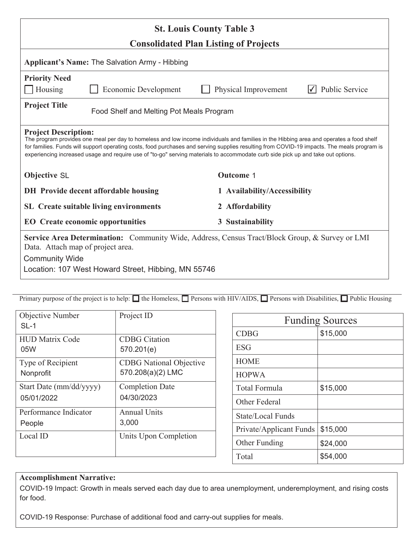| <b>St. Louis County Table 3</b>                                                                                                                                                                                                                                                                                                                                                                                                                           |                                               |                              |                |
|-----------------------------------------------------------------------------------------------------------------------------------------------------------------------------------------------------------------------------------------------------------------------------------------------------------------------------------------------------------------------------------------------------------------------------------------------------------|-----------------------------------------------|------------------------------|----------------|
| <b>Consolidated Plan Listing of Projects</b>                                                                                                                                                                                                                                                                                                                                                                                                              |                                               |                              |                |
| Applicant's Name: The Salvation Army - Hibbing                                                                                                                                                                                                                                                                                                                                                                                                            |                                               |                              |                |
| <b>Priority Need</b><br>Housing                                                                                                                                                                                                                                                                                                                                                                                                                           | Economic Development                          | Physical Improvement         | Public Service |
| <b>Project Title</b><br>Food Shelf and Melting Pot Meals Program                                                                                                                                                                                                                                                                                                                                                                                          |                                               |                              |                |
| <b>Project Description:</b><br>The program provides one meal per day to homeless and low income individuals and families in the Hibbing area and operates a food shelf<br>for families. Funds will support operating costs, food purchases and serving supplies resulting from COVID-19 impacts. The meals program is<br>experiencing increased usage and require use of "to-go" serving materials to accommodate curb side pick up and take out options. |                                               |                              |                |
| <b>Objective SL</b>                                                                                                                                                                                                                                                                                                                                                                                                                                       |                                               | <b>Outcome 1</b>             |                |
|                                                                                                                                                                                                                                                                                                                                                                                                                                                           | DH Provide decent affordable housing          | 1 Availability/Accessibility |                |
|                                                                                                                                                                                                                                                                                                                                                                                                                                                           | <b>SL</b> Create suitable living environments | 2 Affordability              |                |
| <b>EO</b> Create economic opportunities<br>3 Sustainability                                                                                                                                                                                                                                                                                                                                                                                               |                                               |                              |                |
| <b>Service Area Determination:</b> Community Wide, Address, Census Tract/Block Group, & Survey or LMI<br>Data. Attach map of project area.<br><b>Community Wide</b><br>Location: 107 West Howard Street, Hibbing, MN 55746                                                                                                                                                                                                                                |                                               |                              |                |

| <b>Objective Number</b><br>$SL-1$ | Project ID                     |
|-----------------------------------|--------------------------------|
| <b>HUD Matrix Code</b>            | <b>CDBG</b> Citation           |
| 05W                               | 570.201(e)                     |
| Type of Recipient                 | <b>CDBG</b> National Objective |
| Nonprofit                         | 570.208(a)(2) LMC              |
| Start Date (mm/dd/yyyy)           | <b>Completion Date</b>         |
| 05/01/2022                        | 04/30/2023                     |
| Performance Indicator             | <b>Annual Units</b>            |
| People                            | 3,000                          |
| Local ID                          | Units Upon Completion          |

| <b>Funding Sources</b>  |          |  |
|-------------------------|----------|--|
| <b>CDBG</b>             | \$15,000 |  |
| <b>ESG</b>              |          |  |
| <b>HOME</b>             |          |  |
| <b>HOPWA</b>            |          |  |
| <b>Total Formula</b>    | \$15,000 |  |
| Other Federal           |          |  |
| State/Local Funds       |          |  |
| Private/Applicant Funds | \$15,000 |  |
| Other Funding           | \$24,000 |  |
| Total                   | \$54,000 |  |

#### **Accomplishment Narrative:**

COVID-19 Impact: Growth in meals served each day due to area unemployment, underemployment, and rising costs for food.

COVID-19 Response: Purchase of additional food and carry-out supplies for meals.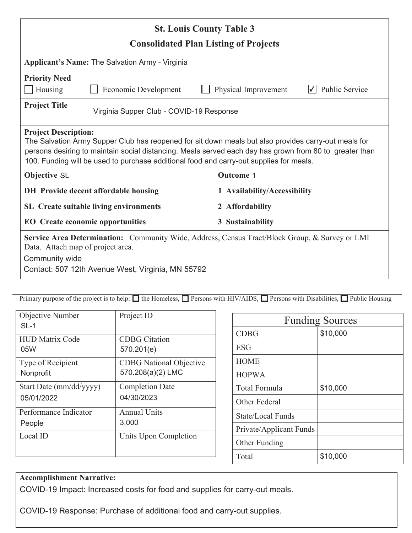| <b>St. Louis County Table 3</b>                                                                                                                                                                                                                                                                                                           |                                        |  |
|-------------------------------------------------------------------------------------------------------------------------------------------------------------------------------------------------------------------------------------------------------------------------------------------------------------------------------------------|----------------------------------------|--|
| <b>Consolidated Plan Listing of Projects</b>                                                                                                                                                                                                                                                                                              |                                        |  |
| Applicant's Name: The Salvation Army - Virginia                                                                                                                                                                                                                                                                                           |                                        |  |
| <b>Priority Need</b><br>Housing<br>Economic Development                                                                                                                                                                                                                                                                                   | Public Service<br>Physical Improvement |  |
| <b>Project Title</b><br>Virginia Supper Club - COVID-19 Response                                                                                                                                                                                                                                                                          |                                        |  |
| <b>Project Description:</b><br>The Salvation Army Supper Club has reopened for sit down meals but also provides carry-out meals for<br>persons desiring to maintain social distancing. Meals served each day has grown from 80 to greater than<br>100. Funding will be used to purchase additional food and carry-out supplies for meals. |                                        |  |
| <b>Objective SL</b>                                                                                                                                                                                                                                                                                                                       | <b>Outcome 1</b>                       |  |
| DH Provide decent affordable housing                                                                                                                                                                                                                                                                                                      | 1 Availability/Accessibility           |  |
| <b>SL</b> Create suitable living environments                                                                                                                                                                                                                                                                                             | 2 Affordability                        |  |
| <b>EO</b> Create economic opportunities<br>3 Sustainability                                                                                                                                                                                                                                                                               |                                        |  |
| Service Area Determination: Community Wide, Address, Census Tract/Block Group, & Survey or LMI<br>Data. Attach map of project area.<br>Community wide<br>Contact: 507 12th Avenue West, Virginia, MN 55792                                                                                                                                |                                        |  |

| <b>Objective Number</b><br>$SL-1$ | Project ID                     |
|-----------------------------------|--------------------------------|
| <b>HUD Matrix Code</b>            | <b>CDBG</b> Citation           |
| 05W                               | 570.201(e)                     |
| Type of Recipient                 | <b>CDBG</b> National Objective |
| Nonprofit                         | 570.208(a)(2) LMC              |
| Start Date (mm/dd/yyyy)           | <b>Completion Date</b>         |
| 05/01/2022                        | 04/30/2023                     |
| Performance Indicator             | <b>Annual Units</b>            |
| People                            | 3,000                          |
| Local ID                          | Units Upon Completion          |

| <b>Funding Sources</b>  |          |  |
|-------------------------|----------|--|
| <b>CDBG</b>             | \$10,000 |  |
| <b>ESG</b>              |          |  |
| <b>HOME</b>             |          |  |
| <b>HOPWA</b>            |          |  |
| Total Formula           | \$10,000 |  |
| Other Federal           |          |  |
| State/Local Funds       |          |  |
| Private/Applicant Funds |          |  |
| Other Funding           |          |  |
| Total                   | \$10,000 |  |

#### **Accomplishment Narrative:**

COVID-19 Impact: Increased costs for food and supplies for carry-out meals.

COVID-19 Response: Purchase of additional food and carry-out supplies.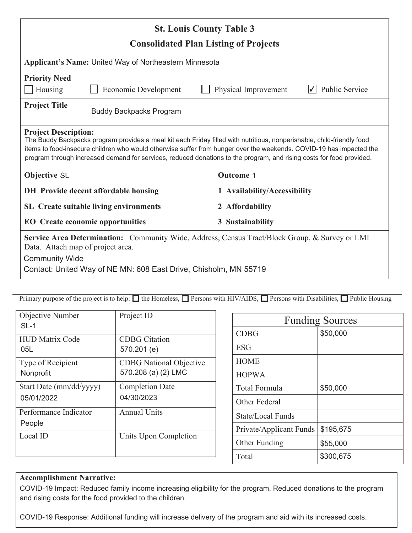| <b>St. Louis County Table 3</b>                                                                                                                                                                                                                                                                                                                                                                      |                                      |                              |                       |
|------------------------------------------------------------------------------------------------------------------------------------------------------------------------------------------------------------------------------------------------------------------------------------------------------------------------------------------------------------------------------------------------------|--------------------------------------|------------------------------|-----------------------|
| <b>Consolidated Plan Listing of Projects</b>                                                                                                                                                                                                                                                                                                                                                         |                                      |                              |                       |
| Applicant's Name: United Way of Northeastern Minnesota                                                                                                                                                                                                                                                                                                                                               |                                      |                              |                       |
| <b>Priority Need</b><br>Housing                                                                                                                                                                                                                                                                                                                                                                      | <b>Economic Development</b>          | Physical Improvement         | <b>Public Service</b> |
|                                                                                                                                                                                                                                                                                                                                                                                                      |                                      |                              |                       |
| <b>Project Title</b>                                                                                                                                                                                                                                                                                                                                                                                 | <b>Buddy Backpacks Program</b>       |                              |                       |
| <b>Project Description:</b><br>The Buddy Backpacks program provides a meal kit each Friday filled with nutritious, nonperishable, child-friendly food<br>items to food-insecure children who would otherwise suffer from hunger over the weekends. COVID-19 has impacted the<br>program through increased demand for services, reduced donations to the program, and rising costs for food provided. |                                      |                              |                       |
| <b>Objective SL</b>                                                                                                                                                                                                                                                                                                                                                                                  |                                      | <b>Outcome 1</b>             |                       |
|                                                                                                                                                                                                                                                                                                                                                                                                      | DH Provide decent affordable housing | 1 Availability/Accessibility |                       |
| <b>SL</b> Create suitable living environments<br>2 Affordability                                                                                                                                                                                                                                                                                                                                     |                                      |                              |                       |
| <b>EO</b> Create economic opportunities<br>3 Sustainability                                                                                                                                                                                                                                                                                                                                          |                                      |                              |                       |
| Service Area Determination: Community Wide, Address, Census Tract/Block Group, & Survey or LMI<br>Data. Attach map of project area.                                                                                                                                                                                                                                                                  |                                      |                              |                       |
| <b>Community Wide</b>                                                                                                                                                                                                                                                                                                                                                                                |                                      |                              |                       |
| Contact: United Way of NE MN: 608 East Drive, Chisholm, MN 55719                                                                                                                                                                                                                                                                                                                                     |                                      |                              |                       |

| Objective Number<br>$SL-1$      | Project ID                     |
|---------------------------------|--------------------------------|
| <b>HUD Matrix Code</b>          | <b>CDBG</b> Citation           |
| 05L                             | 570.201 (e)                    |
| Type of Recipient               | <b>CDBG</b> National Objective |
| Nonprofit                       | 570.208 (a) (2) LMC            |
| Start Date (mm/dd/yyyy)         | <b>Completion Date</b>         |
| 05/01/2022                      | 04/30/2023                     |
| Performance Indicator<br>People | <b>Annual Units</b>            |
| Local ID                        | Units Upon Completion          |

| <b>Funding Sources</b>  |           |  |
|-------------------------|-----------|--|
| <b>CDBG</b>             | \$50,000  |  |
| <b>ESG</b>              |           |  |
| <b>HOME</b>             |           |  |
| <b>HOPWA</b>            |           |  |
| <b>Total Formula</b>    | \$50,000  |  |
| Other Federal           |           |  |
| State/Local Funds       |           |  |
| Private/Applicant Funds | \$195,675 |  |
| Other Funding           | \$55,000  |  |
| Total                   | \$300,675 |  |

#### **Accomplishment Narrative:**

COVID-19 Impact: Reduced family income increasing eligibility for the program. Reduced donations to the program and rising costs for the food provided to the children.

COVID-19 Response: Additional funding will increase delivery of the program and aid with its increased costs.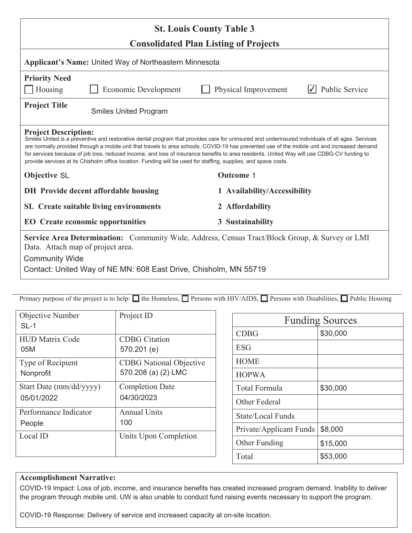| <b>St. Louis County Table 3</b>                                                                                                                                                                                                                                                                                                                                                                                                                                                                                                                                                                  |                                                             |  |                              |                       |
|--------------------------------------------------------------------------------------------------------------------------------------------------------------------------------------------------------------------------------------------------------------------------------------------------------------------------------------------------------------------------------------------------------------------------------------------------------------------------------------------------------------------------------------------------------------------------------------------------|-------------------------------------------------------------|--|------------------------------|-----------------------|
| <b>Consolidated Plan Listing of Projects</b><br>Applicant's Name: United Way of Northeastern Minnesota                                                                                                                                                                                                                                                                                                                                                                                                                                                                                           |                                                             |  |                              |                       |
| <b>Priority Need</b><br>Housing                                                                                                                                                                                                                                                                                                                                                                                                                                                                                                                                                                  | <b>Economic Development</b>                                 |  | Physical Improvement         | <b>Public Service</b> |
| <b>Project Title</b><br><b>Smiles United Program</b>                                                                                                                                                                                                                                                                                                                                                                                                                                                                                                                                             |                                                             |  |                              |                       |
| <b>Project Description:</b><br>Smiles United is a preventive and restorative dental program that provides care for uninsured and underinsured individuals of all ages. Services<br>are normally provided through a mobile unit that travels to area schools. COVID-19 has prevented use of the mobile unit and increased demand<br>for services because of job loss, reduced income, and loss of insurance benefits to area residents. United Way will use CDBG-CV funding to<br>provide services at its Chisholm office location. Funding will be used for staffing, supplies, and space costs. |                                                             |  |                              |                       |
| <b>Objective SL</b>                                                                                                                                                                                                                                                                                                                                                                                                                                                                                                                                                                              |                                                             |  | <b>Outcome 1</b>             |                       |
|                                                                                                                                                                                                                                                                                                                                                                                                                                                                                                                                                                                                  | DH Provide decent affordable housing                        |  | 1 Availability/Accessibility |                       |
|                                                                                                                                                                                                                                                                                                                                                                                                                                                                                                                                                                                                  | <b>SL</b> Create suitable living environments               |  | 2 Affordability              |                       |
|                                                                                                                                                                                                                                                                                                                                                                                                                                                                                                                                                                                                  | <b>EO</b> Create economic opportunities<br>3 Sustainability |  |                              |                       |
| <b>Service Area Determination:</b> Community Wide, Address, Census Tract/Block Group, & Survey or LMI<br>Data. Attach map of project area.<br><b>Community Wide</b><br>Contact: United Way of NE MN: 608 East Drive, Chisholm, MN 55719                                                                                                                                                                                                                                                                                                                                                          |                                                             |  |                              |                       |

| <b>Objective Number</b><br>$SL-1$ | Project ID                     |
|-----------------------------------|--------------------------------|
| <b>HUD Matrix Code</b>            | <b>CDBG</b> Citation           |
| 05M                               | 570.201 (e)                    |
| Type of Recipient                 | <b>CDBG</b> National Objective |
| Nonprofit                         | 570.208 (a) (2) LMC            |
| Start Date (mm/dd/yyyy)           | <b>Completion Date</b>         |
| 05/01/2022                        | 04/30/2023                     |
| Performance Indicator             | <b>Annual Units</b>            |
| People                            | 100                            |
| Local ID                          | Units Upon Completion          |

| <b>Funding Sources</b>  |          |  |
|-------------------------|----------|--|
| <b>CDBG</b>             | \$30,000 |  |
| <b>ESG</b>              |          |  |
| <b>HOME</b>             |          |  |
| <b>HOPWA</b>            |          |  |
| <b>Total Formula</b>    | \$30,000 |  |
| Other Federal           |          |  |
| State/Local Funds       |          |  |
| Private/Applicant Funds | \$8,000  |  |
| Other Funding           | \$15,000 |  |
| Total                   | \$53,000 |  |

#### **Accomplishment Narrative:**

COVID-19 Impact: Loss of job, income, and insurance benefits has created increased program demand. Inability to deliver the program through mobile unit. UW is also unable to conduct fund raising events necessary to support the program.

COVID-19 Response: Delivery of service and increased capacity at on-site location.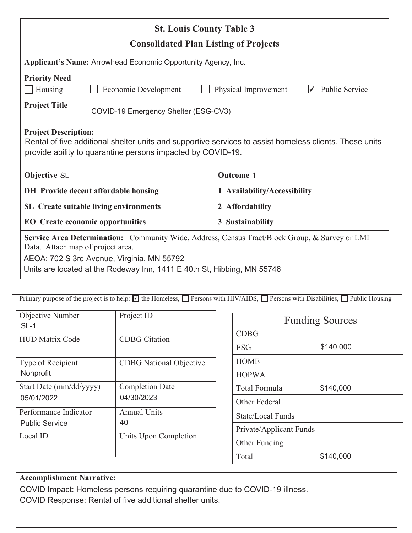| <b>St. Louis County Table 3</b><br><b>Consolidated Plan Listing of Projects</b>                                                                                                                                                                              |                                               |                              |                |
|--------------------------------------------------------------------------------------------------------------------------------------------------------------------------------------------------------------------------------------------------------------|-----------------------------------------------|------------------------------|----------------|
| Applicant's Name: Arrowhead Economic Opportunity Agency, Inc.                                                                                                                                                                                                |                                               |                              |                |
| <b>Priority Need</b><br>Housing                                                                                                                                                                                                                              | <b>Economic Development</b>                   | Physical Improvement         | Public Service |
| <b>Project Title</b><br>COVID-19 Emergency Shelter (ESG-CV3)                                                                                                                                                                                                 |                                               |                              |                |
| <b>Project Description:</b><br>Rental of five additional shelter units and supportive services to assist homeless clients. These units<br>provide ability to quarantine persons impacted by COVID-19.                                                        |                                               |                              |                |
| <b>Objective SL</b>                                                                                                                                                                                                                                          | <b>Outcome 1</b>                              |                              |                |
|                                                                                                                                                                                                                                                              | <b>DH</b> Provide decent affordable housing   | 1 Availability/Accessibility |                |
|                                                                                                                                                                                                                                                              | <b>SL</b> Create suitable living environments | 2 Affordability              |                |
| <b>EO</b> Create economic opportunities<br>3 Sustainability                                                                                                                                                                                                  |                                               |                              |                |
| Service Area Determination: Community Wide, Address, Census Tract/Block Group, & Survey or LMI<br>Data. Attach map of project area.<br>AEOA: 702 S 3rd Avenue, Virginia, MN 55792<br>Units are located at the Rodeway Inn, 1411 E 40th St, Hibbing, MN 55746 |                                               |                              |                |

| Objective Number<br>$SL-1$     | Project ID                     |
|--------------------------------|--------------------------------|
| <b>HUD Matrix Code</b>         | <b>CDBG</b> Citation           |
| Type of Recipient<br>Nonprofit | <b>CDBG</b> National Objective |
| Start Date (mm/dd/yyyy)        | <b>Completion Date</b>         |
| 05/01/2022                     | 04/30/2023                     |
| Performance Indicator          | <b>Annual Units</b>            |
| <b>Public Service</b>          | 40                             |
| Local ID                       | Units Upon Completion          |
|                                |                                |

| <b>Funding Sources</b>  |           |  |
|-------------------------|-----------|--|
| <b>CDBG</b>             |           |  |
| ESG                     | \$140,000 |  |
| <b>HOME</b>             |           |  |
| <b>HOPWA</b>            |           |  |
| <b>Total Formula</b>    | \$140,000 |  |
| Other Federal           |           |  |
| State/Local Funds       |           |  |
| Private/Applicant Funds |           |  |
| Other Funding           |           |  |
| Total                   | \$140,000 |  |

#### **Accomplishment Narrative:**

COVID Impact: Homeless persons requiring quarantine due to COVID-19 illness. COVID Response: Rental of five additional shelter units.